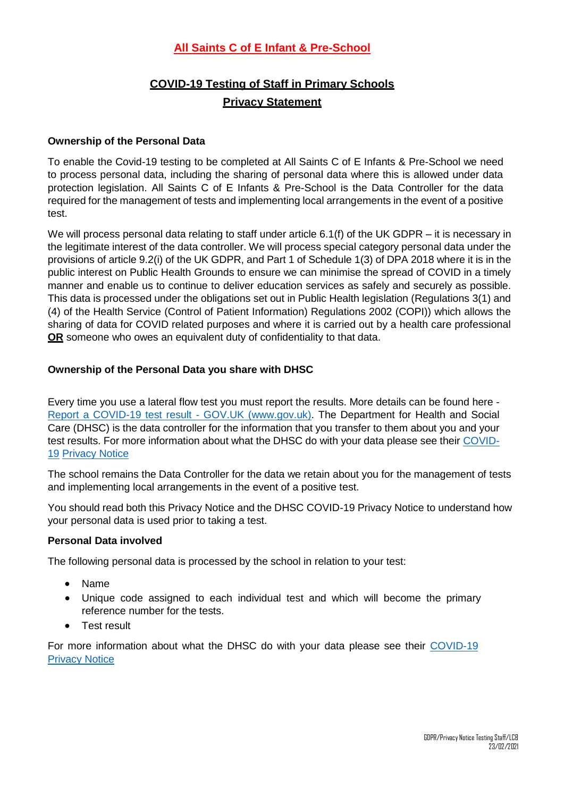## **All Saints C of E Infant & Pre-School**

# **COVID-19 Testing of Staff in Primary Schools Privacy Statement**

### **Ownership of the Personal Data**

To enable the Covid-19 testing to be completed at All Saints C of E Infants & Pre-School we need to process personal data, including the sharing of personal data where this is allowed under data protection legislation. All Saints C of E Infants & Pre-School is the Data Controller for the data required for the management of tests and implementing local arrangements in the event of a positive test.

We will process personal data relating to staff under article 6.1(f) of the UK GDPR – it is necessary in the legitimate interest of the data controller. We will process special category personal data under the provisions of article 9.2(i) of the UK GDPR, and Part 1 of Schedule 1(3) of DPA 2018 where it is in the public interest on Public Health Grounds to ensure we can minimise the spread of COVID in a timely manner and enable us to continue to deliver education services as safely and securely as possible. This data is processed under the obligations set out in Public Health legislation (Regulations 3(1) and (4) of the Health Service (Control of Patient Information) Regulations 2002 (COPI)) which allows the sharing of data for COVID related purposes and where it is carried out by a health care professional **OR** someone who owes an equivalent duty of confidentiality to that data.

### **Ownership of the Personal Data you share with DHSC**

Every time you use a lateral flow test you must report the results. More details can be found here - [Report a COVID-19 test result -](https://www.gov.uk/report-covid19-result) GOV.UK (www.gov.uk). The Department for Health and Social Care (DHSC) is the data controller for the information that you transfer to them about you and your test results. For more information about what the DHSC do with your data please see their [COVID-](https://www.gov.uk/government/publications/coronavirus-covid-19-testing-privacy-information)[19](https://www.gov.uk/government/publications/coronavirus-covid-19-testing-privacy-information) [Privacy Notice](https://www.gov.uk/government/publications/coronavirus-covid-19-testing-privacy-information)

The school remains the Data Controller for the data we retain about you for the management of tests and implementing local arrangements in the event of a positive test.

You should read both this Privacy Notice and the DHSC COVID-19 Privacy Notice to understand how your personal data is used prior to taking a test.

#### **Personal Data involved**

The following personal data is processed by the school in relation to your test:

- Name
- Unique code assigned to each individual test and which will become the primary reference number for the tests.
- Test result

For more information about what the DHSC do with your data please see their [COVID-19](https://www.gov.uk/government/publications/coronavirus-covid-19-testing-privacy-information)  [Privacy Notice](https://www.gov.uk/government/publications/coronavirus-covid-19-testing-privacy-information)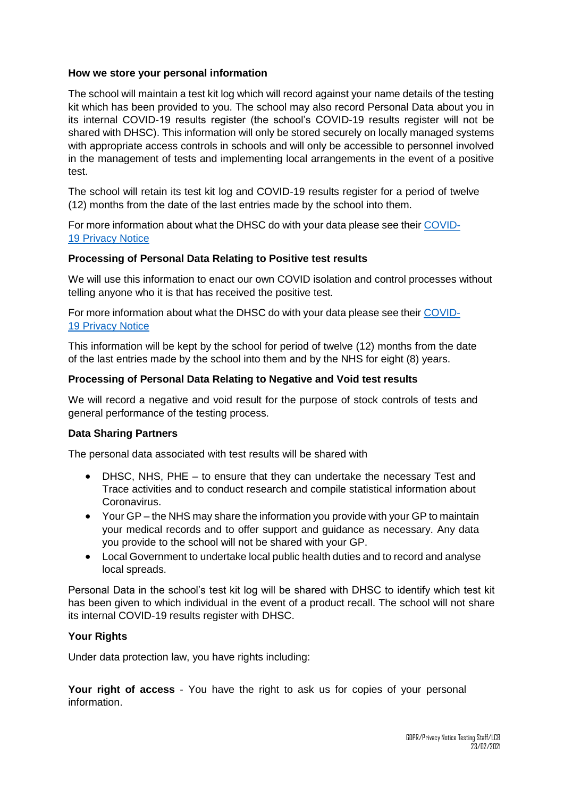#### **How we store your personal information**

The school will maintain a test kit log which will record against your name details of the testing kit which has been provided to you. The school may also record Personal Data about you in its internal COVID-19 results register (the school's COVID-19 results register will not be shared with DHSC). This information will only be stored securely on locally managed systems with appropriate access controls in schools and will only be accessible to personnel involved in the management of tests and implementing local arrangements in the event of a positive test.

The school will retain its test kit log and COVID-19 results register for a period of twelve (12) months from the date of the last entries made by the school into them.

For more information about what the DHSC do with your data please see their [COVID-](https://www.gov.uk/government/publications/coronavirus-covid-19-testing-privacy-information)[19 Privacy Notice](https://www.gov.uk/government/publications/coronavirus-covid-19-testing-privacy-information)

#### **Processing of Personal Data Relating to Positive test results**

We will use this information to enact our own COVID isolation and control processes without telling anyone who it is that has received the positive test.

For more information about what the DHSC do with your data please see their [COVID-](https://www.gov.uk/government/publications/coronavirus-covid-19-testing-privacy-information)[19 Privacy Notice](https://www.gov.uk/government/publications/coronavirus-covid-19-testing-privacy-information)

This information will be kept by the school for period of twelve (12) months from the date of the last entries made by the school into them and by the NHS for eight (8) years.

#### **Processing of Personal Data Relating to Negative and Void test results**

We will record a negative and void result for the purpose of stock controls of tests and general performance of the testing process.

#### **Data Sharing Partners**

The personal data associated with test results will be shared with

- DHSC, NHS, PHE to ensure that they can undertake the necessary Test and Trace activities and to conduct research and compile statistical information about Coronavirus.
- Your GP the NHS may share the information you provide with your GP to maintain your medical records and to offer support and guidance as necessary. Any data you provide to the school will not be shared with your GP.
- Local Government to undertake local public health duties and to record and analyse local spreads.

Personal Data in the school's test kit log will be shared with DHSC to identify which test kit has been given to which individual in the event of a product recall. The school will not share its internal COVID-19 results register with DHSC.

#### **Your Rights**

Under data protection law, you have rights including:

**Your right of access** - You have the right to ask us for copies of your personal information.